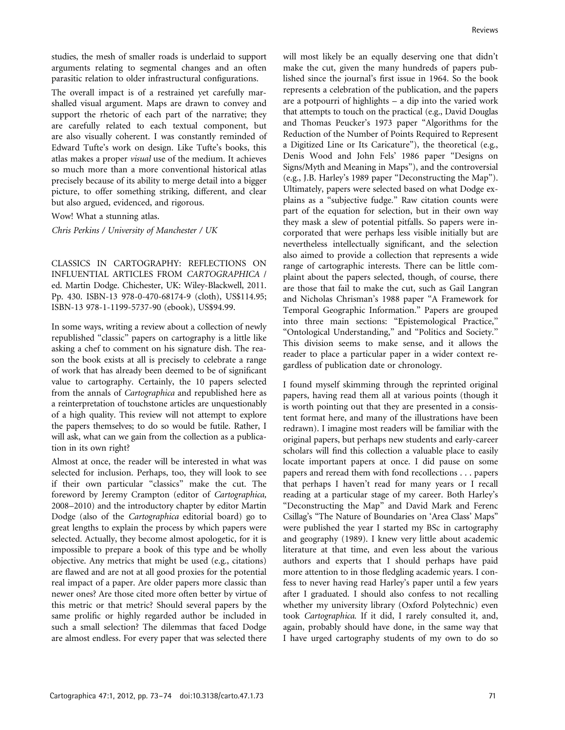studies, the mesh of smaller roads is underlaid to support arguments relating to segmental changes and an often parasitic relation to older infrastructural configurations.

The overall impact is of a restrained yet carefully marshalled visual argument. Maps are drawn to convey and support the rhetoric of each part of the narrative; they are carefully related to each textual component, but are also visually coherent. I was constantly reminded of Edward Tufte's work on design. Like Tufte's books, this atlas makes a proper visual use of the medium. It achieves so much more than a more conventional historical atlas precisely because of its ability to merge detail into a bigger picture, to offer something striking, different, and clear but also argued, evidenced, and rigorous.

Wow! What a stunning atlas.

Chris Perkins / University of Manchester / UK

CLASSICS IN CARTOGRAPHY: REFLECTIONS ON INFLUENTIAL ARTICLES FROM CARTOGRAPHICA / ed. Martin Dodge. Chichester, UK: Wiley-Blackwell, 2011. Pp. 430. ISBN-13 978-0-470-68174-9 (cloth), US\$114.95; ISBN-13 978-1-1199-5737-90 (ebook), US\$94.99.

In some ways, writing a review about a collection of newly republished ''classic'' papers on cartography is a little like asking a chef to comment on his signature dish. The reason the book exists at all is precisely to celebrate a range of work that has already been deemed to be of significant value to cartography. Certainly, the 10 papers selected from the annals of Cartographica and republished here as a reinterpretation of touchstone articles are unquestionably of a high quality. This review will not attempt to explore the papers themselves; to do so would be futile. Rather, I will ask, what can we gain from the collection as a publication in its own right?

Almost at once, the reader will be interested in what was selected for inclusion. Perhaps, too, they will look to see if their own particular ''classics'' make the cut. The foreword by Jeremy Crampton (editor of Cartographica, 2008–2010) and the introductory chapter by editor Martin Dodge (also of the Cartographica editorial board) go to great lengths to explain the process by which papers were selected. Actually, they become almost apologetic, for it is impossible to prepare a book of this type and be wholly objective. Any metrics that might be used (e.g., citations) are flawed and are not at all good proxies for the potential real impact of a paper. Are older papers more classic than newer ones? Are those cited more often better by virtue of this metric or that metric? Should several papers by the same prolific or highly regarded author be included in such a small selection? The dilemmas that faced Dodge are almost endless. For every paper that was selected there

will most likely be an equally deserving one that didn't make the cut, given the many hundreds of papers published since the journal's first issue in 1964. So the book represents a celebration of the publication, and the papers are a potpourri of highlights – a dip into the varied work that attempts to touch on the practical (e.g., David Douglas and Thomas Peucker's 1973 paper ''Algorithms for the Reduction of the Number of Points Required to Represent a Digitized Line or Its Caricature''), the theoretical (e.g., Denis Wood and John Fels' 1986 paper ''Designs on Signs/Myth and Meaning in Maps''), and the controversial (e.g., J.B. Harley's 1989 paper ''Deconstructing the Map''). Ultimately, papers were selected based on what Dodge explains as a ''subjective fudge.'' Raw citation counts were part of the equation for selection, but in their own way they mask a slew of potential pitfalls. So papers were incorporated that were perhaps less visible initially but are nevertheless intellectually significant, and the selection also aimed to provide a collection that represents a wide range of cartographic interests. There can be little complaint about the papers selected, though, of course, there are those that fail to make the cut, such as Gail Langran and Nicholas Chrisman's 1988 paper ''A Framework for Temporal Geographic Information.'' Papers are grouped into three main sections: ''Epistemological Practice,'' ''Ontological Understanding,'' and ''Politics and Society.'' This division seems to make sense, and it allows the reader to place a particular paper in a wider context regardless of publication date or chronology.

I found myself skimming through the reprinted original papers, having read them all at various points (though it is worth pointing out that they are presented in a consistent format here, and many of the illustrations have been redrawn). I imagine most readers will be familiar with the original papers, but perhaps new students and early-career scholars will find this collection a valuable place to easily locate important papers at once. I did pause on some papers and reread them with fond recollections . . . papers that perhaps I haven't read for many years or I recall reading at a particular stage of my career. Both Harley's ''Deconstructing the Map'' and David Mark and Ferenc Csillag's ''The Nature of Boundaries on 'Area Class' Maps'' were published the year I started my BSc in cartography and geography (1989). I knew very little about academic literature at that time, and even less about the various authors and experts that I should perhaps have paid more attention to in those fledgling academic years. I confess to never having read Harley's paper until a few years after I graduated. I should also confess to not recalling whether my university library (Oxford Polytechnic) even took Cartographica. If it did, I rarely consulted it, and, again, probably should have done, in the same way that I have urged cartography students of my own to do so